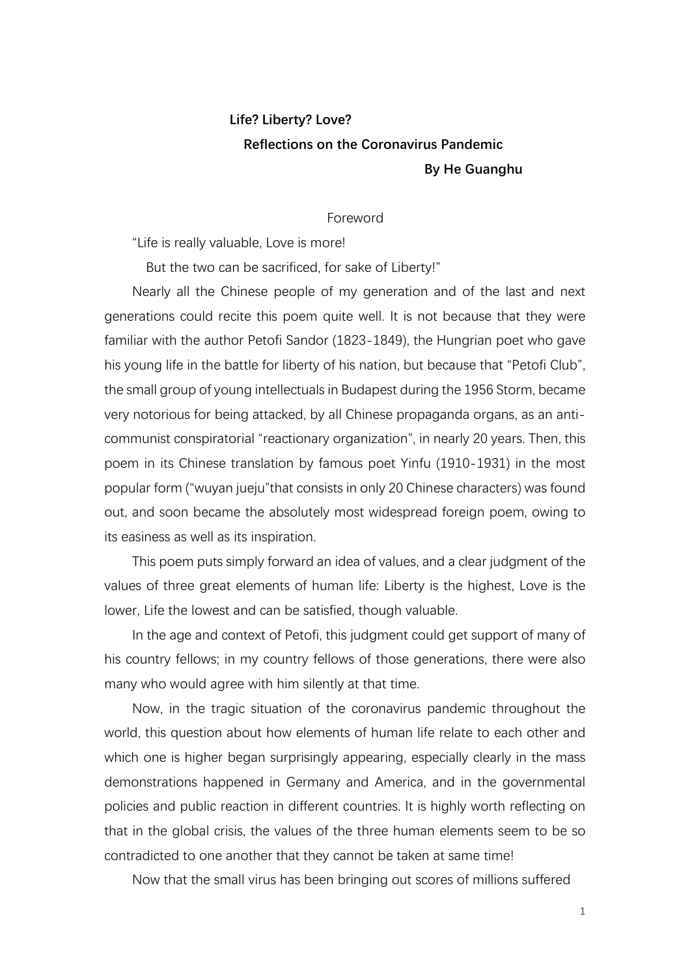# **Life? Liberty? Love? Reflections on the Coronavirus Pandemic By He Guanghu**

#### Foreword

"Life is really valuable, Love is more!

But the two can be sacrificed, for sake of Liberty!"

Nearly all the Chinese people of my generation and of the last and next generations could recite this poem quite well. It is not because that they were familiar with the author Petofi Sandor (1823-1849), the Hungrian poet who gave his young life in the battle for liberty of his nation, but because that "Petofi Club", the small group of young intellectuals in Budapest during the 1956 Storm, became very notorious for being attacked, by all Chinese propaganda organs, as an anticommunist conspiratorial "reactionary organization", in nearly 20 years. Then, this poem in its Chinese translation by famous poet Yinfu (1910-1931) in the most popular form ("wuyan jueju"that consists in only 20 Chinese characters) was found out, and soon became the absolutely most widespread foreign poem, owing to its easiness as well as its inspiration.

This poem puts simply forward an idea of values, and a clear judgment of the values of three great elements of human life: Liberty is the highest, Love is the lower, Life the lowest and can be satisfied, though valuable.

In the age and context of Petofi, this judgment could get support of many of his country fellows; in my country fellows of those generations, there were also many who would agree with him silently at that time.

Now, in the tragic situation of the coronavirus pandemic throughout the world, this question about how elements of human life relate to each other and which one is higher began surprisingly appearing, especially clearly in the mass demonstrations happened in Germany and America, and in the governmental policies and public reaction in different countries. It is highly worth reflecting on that in the global crisis, the values of the three human elements seem to be so contradicted to one another that they cannot be taken at same time!

Now that the small virus has been bringing out scores of millions suffered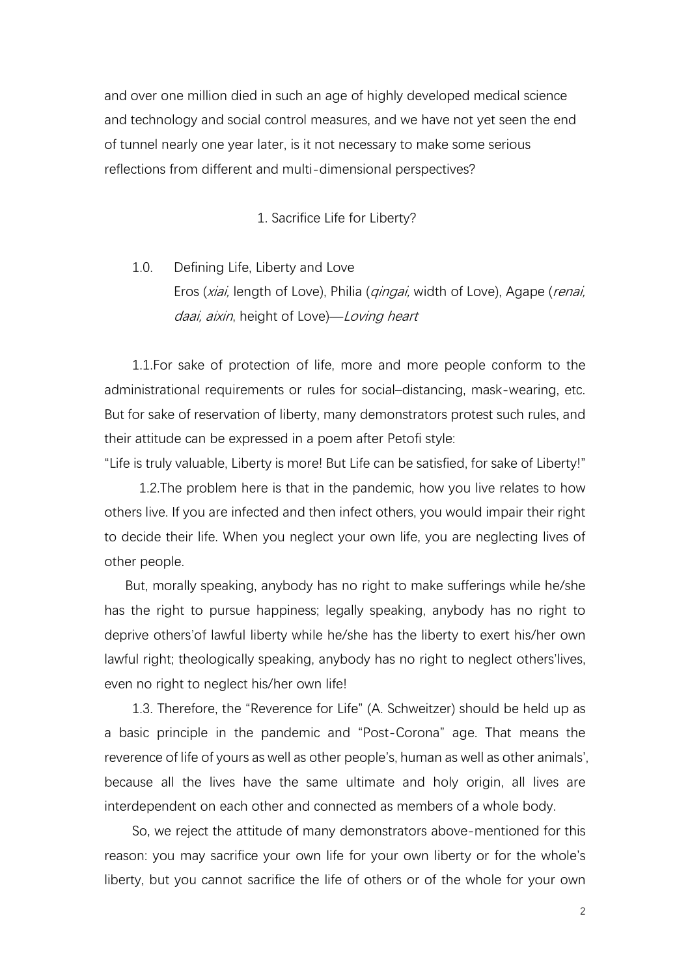and over one million died in such an age of highly developed medical science and technology and social control measures, and we have not yet seen the end of tunnel nearly one year later, is it not necessary to make some serious reflections from different and multi-dimensional perspectives?

1. Sacrifice Life for Liberty?

1.0. Defining Life, Liberty and Love Eros (xiai, length of Love), Philia (*qingai*, width of Love), Agape (*renai*, daai, aixin, height of Love)—Loving heart

 1.1.For sake of protection of life, more and more people conform to the administrational requirements or rules for social–distancing, mask-wearing, etc. But for sake of reservation of liberty, many demonstrators protest such rules, and their attitude can be expressed in a poem after Petofi style:

"Life is truly valuable, Liberty is more! But Life can be satisfied, for sake of Liberty!"

 1.2.The problem here is that in the pandemic, how you live relates to how others live. If you are infected and then infect others, you would impair their right to decide their life. When you neglect your own life, you are neglecting lives of other people.

 But, morally speaking, anybody has no right to make sufferings while he/she has the right to pursue happiness; legally speaking, anybody has no right to deprive others'of lawful liberty while he/she has the liberty to exert his/her own lawful right; theologically speaking, anybody has no right to neglect others'lives, even no right to neglect his/her own life!

1.3. Therefore, the "Reverence for Life" (A. Schweitzer) should be held up as a basic principle in the pandemic and "Post-Corona" age. That means the reverence of life of yours as well as other people's, human as well as other animals', because all the lives have the same ultimate and holy origin, all lives are interdependent on each other and connected as members of a whole body.

So, we reject the attitude of many demonstrators above-mentioned for this reason: you may sacrifice your own life for your own liberty or for the whole's liberty, but you cannot sacrifice the life of others or of the whole for your own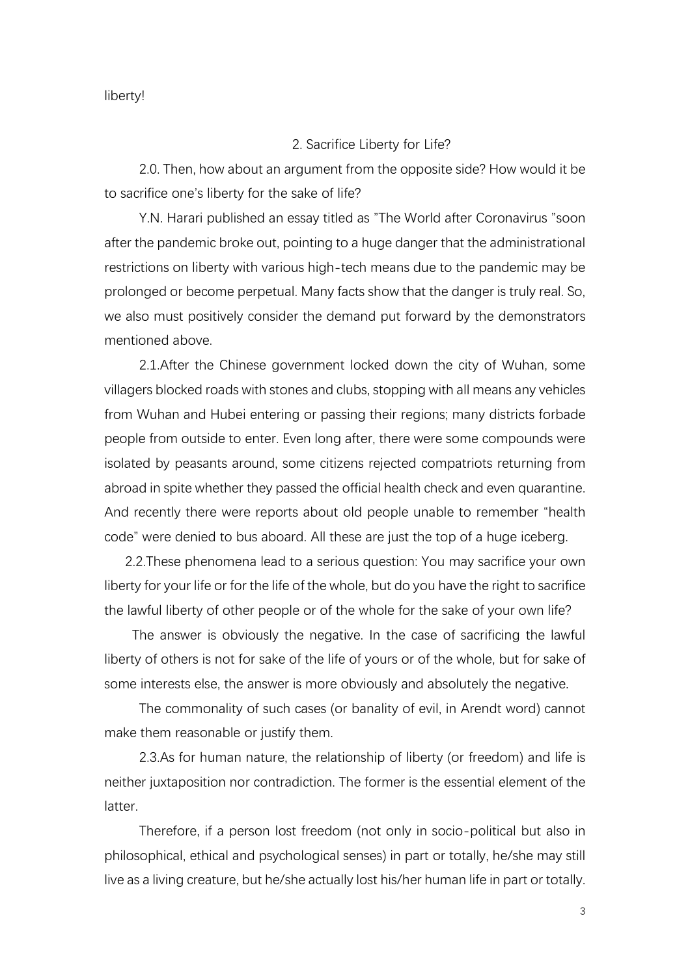#### liberty!

## 2. Sacrifice Liberty for Life?

 2.0. Then, how about an argument from the opposite side? How would it be to sacrifice one's liberty for the sake of life?

Y.N. Harari published an essay titled as "The World after Coronavirus "soon after the pandemic broke out, pointing to a huge danger that the administrational restrictions on liberty with various high-tech means due to the pandemic may be prolonged or become perpetual. Many facts show that the danger is truly real. So, we also must positively consider the demand put forward by the demonstrators mentioned above.

2.1.After the Chinese government locked down the city of Wuhan, some villagers blocked roads with stones and clubs, stopping with all means any vehicles from Wuhan and Hubei entering or passing their regions; many districts forbade people from outside to enter. Even long after, there were some compounds were isolated by peasants around, some citizens rejected compatriots returning from abroad in spite whether they passed the official health check and even quarantine. And recently there were reports about old people unable to remember "health code" were denied to bus aboard. All these are just the top of a huge iceberg.

 2.2.These phenomena lead to a serious question: You may sacrifice your own liberty for your life or for the life of the whole, but do you have the right to sacrifice the lawful liberty of other people or of the whole for the sake of your own life?

 The answer is obviously the negative. In the case of sacrificing the lawful liberty of others is not for sake of the life of yours or of the whole, but for sake of some interests else, the answer is more obviously and absolutely the negative.

The commonality of such cases (or banality of evil, in Arendt word) cannot make them reasonable or justify them.

2.3.As for human nature, the relationship of liberty (or freedom) and life is neither juxtaposition nor contradiction. The former is the essential element of the latter.

Therefore, if a person lost freedom (not only in socio-political but also in philosophical, ethical and psychological senses) in part or totally, he/she may still live as a living creature, but he/she actually lost his/her human life in part or totally.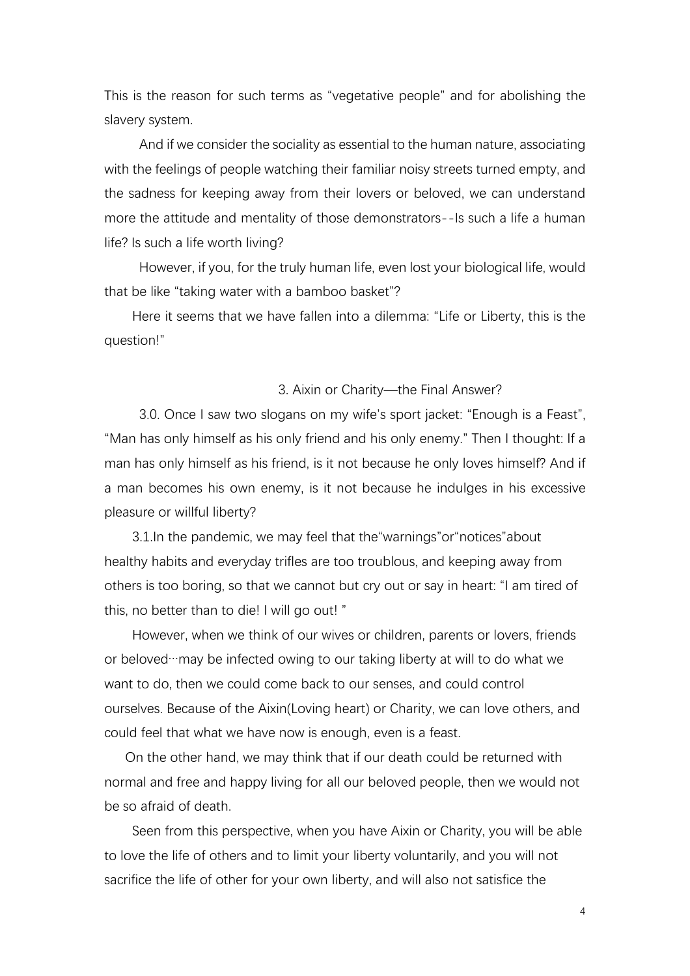This is the reason for such terms as "vegetative people" and for abolishing the slavery system.

And if we consider the sociality as essential to the human nature, associating with the feelings of people watching their familiar noisy streets turned empty, and the sadness for keeping away from their lovers or beloved, we can understand more the attitude and mentality of those demonstrators--Is such a life a human life? Is such a life worth living?

 However, if you, for the truly human life, even lost your biological life, would that be like "taking water with a bamboo basket"?

Here it seems that we have fallen into a dilemma: "Life or Liberty, this is the question!"

## 3. Aixin or Charity—the Final Answer?

 3.0. Once I saw two slogans on my wife's sport jacket: "Enough is a Feast", "Man has only himself as his only friend and his only enemy." Then I thought: If a man has only himself as his friend, is it not because he only loves himself? And if a man becomes his own enemy, is it not because he indulges in his excessive pleasure or willful liberty?

3.1.In the pandemic, we may feel that the"warnings"or"notices"about healthy habits and everyday trifles are too troublous, and keeping away from others is too boring, so that we cannot but cry out or say in heart: "I am tired of this, no better than to die! I will go out! "

However, when we think of our wives or children, parents or lovers, friends or beloved…may be infected owing to our taking liberty at will to do what we want to do, then we could come back to our senses, and could control ourselves. Because of the Aixin(Loving heart) or Charity, we can love others, and could feel that what we have now is enough, even is a feast.

 On the other hand, we may think that if our death could be returned with normal and free and happy living for all our beloved people, then we would not be so afraid of death.

Seen from this perspective, when you have Aixin or Charity, you will be able to love the life of others and to limit your liberty voluntarily, and you will not sacrifice the life of other for your own liberty, and will also not satisfice the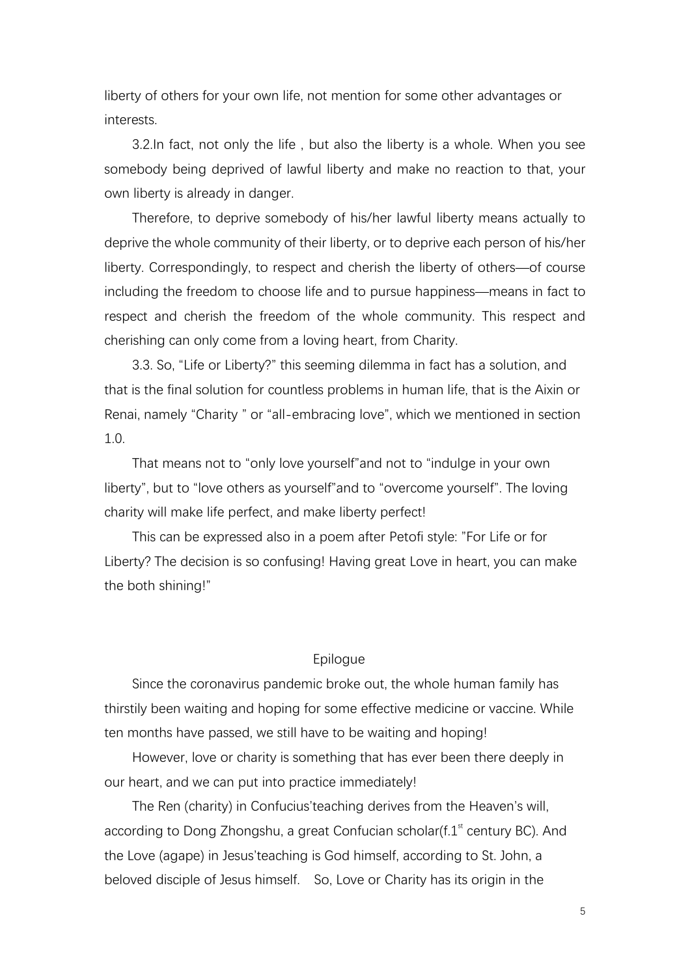liberty of others for your own life, not mention for some other advantages or interests.

3.2.In fact, not only the life , but also the liberty is a whole. When you see somebody being deprived of lawful liberty and make no reaction to that, your own liberty is already in danger.

 Therefore, to deprive somebody of his/her lawful liberty means actually to deprive the whole community of their liberty, or to deprive each person of his/her liberty. Correspondingly, to respect and cherish the liberty of others—of course including the freedom to choose life and to pursue happiness—means in fact to respect and cherish the freedom of the whole community. This respect and cherishing can only come from a loving heart, from Charity.

3.3. So, "Life or Liberty?" this seeming dilemma in fact has a solution, and that is the final solution for countless problems in human life, that is the Aixin or Renai, namely "Charity " or "all-embracing love", which we mentioned in section 1.0.

That means not to "only love yourself"and not to "indulge in your own liberty", but to "love others as yourself"and to "overcome yourself". The loving charity will make life perfect, and make liberty perfect!

This can be expressed also in a poem after Petofi style: "For Life or for Liberty? The decision is so confusing! Having great Love in heart, you can make the both shining!"

## Epilogue

Since the coronavirus pandemic broke out, the whole human family has thirstily been waiting and hoping for some effective medicine or vaccine. While ten months have passed, we still have to be waiting and hoping!

However, love or charity is something that has ever been there deeply in our heart, and we can put into practice immediately!

The Ren (charity) in Confucius'teaching derives from the Heaven's will, according to Dong Zhongshu, a great Confucian scholar( $f \cdot 1$ <sup>st</sup> century BC). And the Love (agape) in Jesus'teaching is God himself, according to St. John, a beloved disciple of Jesus himself. So, Love or Charity has its origin in the